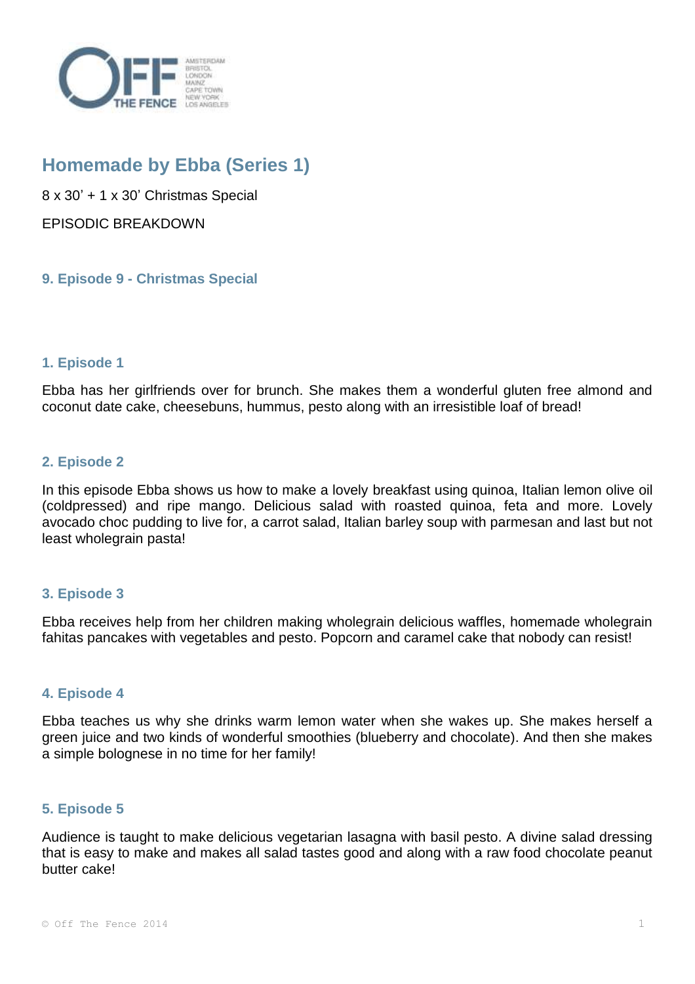

# **Homemade by Ebba (Series 1)**

8 x 30' + 1 x 30' Christmas Special EPISODIC BREAKDOWN

**9. Episode 9 - Christmas Special**

# **1. Episode 1**

Ebba has her girlfriends over for brunch. She makes them a wonderful gluten free almond and coconut date cake, cheesebuns, hummus, pesto along with an irresistible loaf of bread!

### **2. Episode 2**

In this episode Ebba shows us how to make a lovely breakfast using quinoa, Italian lemon olive oil (coldpressed) and ripe mango. Delicious salad with roasted quinoa, feta and more. Lovely avocado choc pudding to live for, a carrot salad, Italian barley soup with parmesan and last but not least wholegrain pasta!

#### **3. Episode 3**

Ebba receives help from her children making wholegrain delicious waffles, homemade wholegrain fahitas pancakes with vegetables and pesto. Popcorn and caramel cake that nobody can resist!

#### **4. Episode 4**

Ebba teaches us why she drinks warm lemon water when she wakes up. She makes herself a green juice and two kinds of wonderful smoothies (blueberry and chocolate). And then she makes a simple bolognese in no time for her family!

#### **5. Episode 5**

Audience is taught to make delicious vegetarian lasagna with basil pesto. A divine salad dressing that is easy to make and makes all salad tastes good and along with a raw food chocolate peanut butter cake!